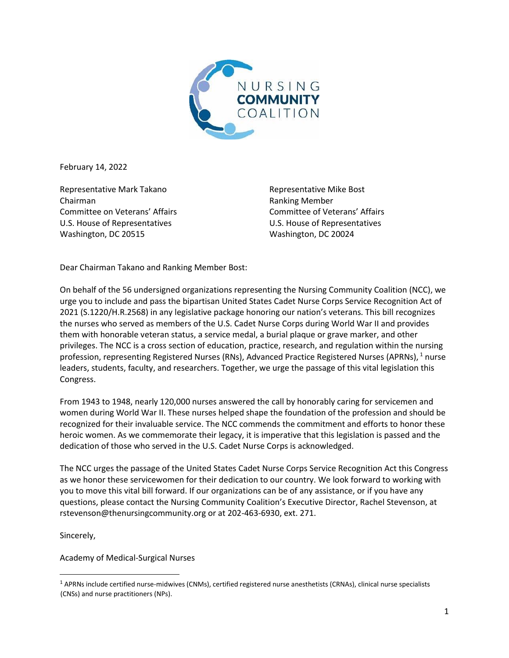

February 14, 2022

Representative Mark Takano Chairman Committee on Veterans' Affairs U.S. House of Representatives Washington, DC 20515

Representative Mike Bost Ranking Member Committee of Veterans' Affairs U.S. House of Representatives Washington, DC 20024

Dear Chairman Takano and Ranking Member Bost:

On behalf of the 56 undersigned organizations representing the Nursing Community Coalition (NCC), we urge you to include and pass the bipartisan United States Cadet Nurse Corps Service Recognition Act of 2021 (S.1220/H.R.2568) in any legislative package honoring our nation's veterans. This bill recognizes the nurses who served as members of the U.S. Cadet Nurse Corps during World War II and provides them with honorable veteran status, a service medal, a burial plaque or grave marker, and other privileges. The NCC is a cross section of education, practice, research, and regulation within the nursing profession, representing Registered Nurses (RNs), Advanced Practice Registered Nurses (APRNs), <sup>1</sup> nurse leaders, students, faculty, and researchers. Together, we urge the passage of this vital legislation this Congress.

From 1943 to 1948, nearly 120,000 nurses answered the call by honorably caring for servicemen and women during World War II. These nurses helped shape the foundation of the profession and should be recognized for their invaluable service. The NCC commends the commitment and efforts to honor these heroic women. As we commemorate their legacy, it is imperative that this legislation is passed and the dedication of those who served in the U.S. Cadet Nurse Corps is acknowledged.

The NCC urges the passage of the United States Cadet Nurse Corps Service Recognition Act this Congress as we honor these servicewomen for their dedication to our country. We look forward to working with you to move this vital bill forward. If our organizations can be of any assistance, or if you have any questions, please contact the Nursing Community Coalition's Executive Director, Rachel Stevenson, at rstevenson@thenursingcommunity.org or at 202-463-6930, ext. 271.

Sincerely,

Academy of Medical-Surgical Nurses

 $1$  APRNs include certified nurse-midwives (CNMs), certified registered nurse anesthetists (CRNAs), clinical nurse specialists (CNSs) and nurse practitioners (NPs).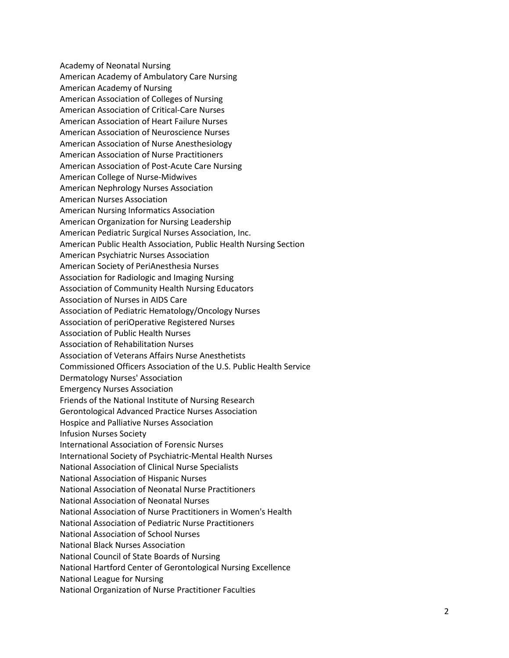Academy of Neonatal Nursing American Academy of Ambulatory Care Nursing American Academy of Nursing American Association of Colleges of Nursing American Association of Critical-Care Nurses American Association of Heart Failure Nurses American Association of Neuroscience Nurses American Association of Nurse Anesthesiology American Association of Nurse Practitioners American Association of Post-Acute Care Nursing American College of Nurse-Midwives American Nephrology Nurses Association American Nurses Association American Nursing Informatics Association American Organization for Nursing Leadership American Pediatric Surgical Nurses Association, Inc. American Public Health Association, Public Health Nursing Section American Psychiatric Nurses Association American Society of PeriAnesthesia Nurses Association for Radiologic and Imaging Nursing Association of Community Health Nursing Educators Association of Nurses in AIDS Care Association of Pediatric Hematology/Oncology Nurses Association of periOperative Registered Nurses Association of Public Health Nurses Association of Rehabilitation Nurses Association of Veterans Affairs Nurse Anesthetists Commissioned Officers Association of the U.S. Public Health Service Dermatology Nurses' Association Emergency Nurses Association Friends of the National Institute of Nursing Research Gerontological Advanced Practice Nurses Association Hospice and Palliative Nurses Association Infusion Nurses Society International Association of Forensic Nurses International Society of Psychiatric-Mental Health Nurses National Association of Clinical Nurse Specialists National Association of Hispanic Nurses National Association of Neonatal Nurse Practitioners National Association of Neonatal Nurses National Association of Nurse Practitioners in Women's Health National Association of Pediatric Nurse Practitioners National Association of School Nurses National Black Nurses Association National Council of State Boards of Nursing National Hartford Center of Gerontological Nursing Excellence National League for Nursing National Organization of Nurse Practitioner Faculties